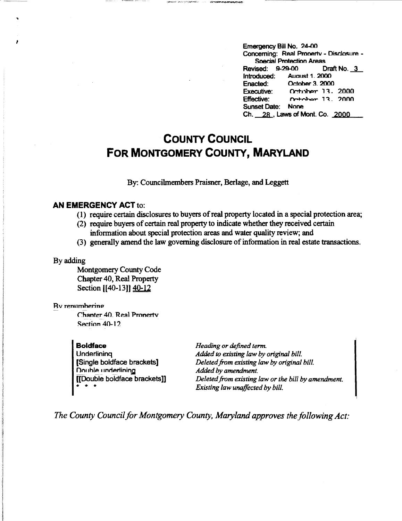Emergency Bill No. 24-00 Concerning: Real Pmnertv - Disclosure - Soecial Protection Areas Revised: 9-29-00 Draft No. \_a\_ Introduced: Auoust 1 \_ 2000 Enacted: October 3. 2000<br>Executive: October 13. Ortober 13, 2000  $Effective:$   $\n *Pr<sub>th</sub>* - *Pr<sub>th</sub>* - *13* . 2000$ Sunset Date: None Ch. ---28..., Laws of Mont. Co. **2000** 

# **COUNTY COUNCIL FOR MONTGOMERY COUNTY, MARYLAND**

## By: Councilmembers Praisner, Berlage, and Leggett

## **AN EMERGENCY ACT** to:

- (1) require certain disclosures to buyers of real property located in a special protection area;
- (2) require buyers of certain real property to indicate whether they received certain information about special protection areas and water quality review; and
- (3) generally amend the law governing disclosure of information in real estate transactions.

### By adding

..

Montgomery County Code Chapter 40, Real Property Section [[40-13]] 40-12

#### Rv rennmherino

Chanter 40. Real Pronerty Section 40-12

**Boldface Underlining** [Single boldface brackets) Double underlining [[Double boldface brackets]] \* \* \*

*Heading or defined term. Added to existing law by original bill. Deleted from existing law by original bill. Added by amendment. Deleted from existing law or the bill by amendment. Existing law unaffected by bill.* 

*The County Council for Montgomery County, Maryland approves the following Act:*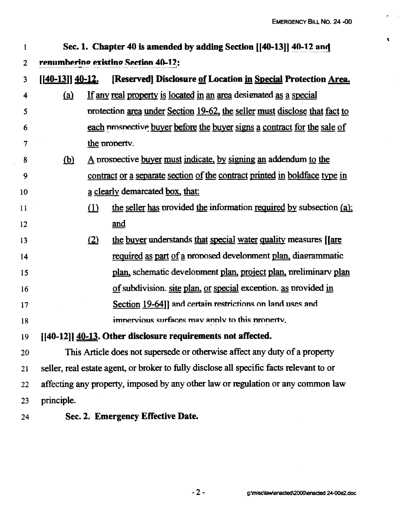$\sqrt{2}$ 

 $\mathcal{L}_{\mathcal{A}}$ 

| $\mathbf{1}$   | Sec. 1. Chapter 40 is amended by adding Section [[40-13]] 40-12 and                      |                                                                            |                                                                            |  |
|----------------|------------------------------------------------------------------------------------------|----------------------------------------------------------------------------|----------------------------------------------------------------------------|--|
| $\overline{2}$ | renumberino existino Section 40-12:                                                      |                                                                            |                                                                            |  |
| 3              | $[$ [40-13]] 40-12.                                                                      |                                                                            | [Reserved] Disclosure of Location in Special Protection Area.              |  |
| 4              | (a)                                                                                      |                                                                            | If any real property is located in an area designated as a special         |  |
| 5              |                                                                                          |                                                                            | protection area under Section 19-62, the seller must disclose that fact to |  |
| 6              |                                                                                          |                                                                            | each prospective buyer before the buyer signs a contract for the sale of   |  |
| 7              |                                                                                          | the property.                                                              |                                                                            |  |
| 8              | <u>(b)</u>                                                                               | A prospective buyer must indicate, by signing an addendum to the           |                                                                            |  |
| 9              |                                                                                          | contract or a separate section of the contract printed in boldface type in |                                                                            |  |
| 10             |                                                                                          | a clearly demarcated box, that:                                            |                                                                            |  |
| 11             |                                                                                          | $\Omega$                                                                   | the seller has provided the information required by subsection (a);        |  |
| 12             |                                                                                          |                                                                            | and                                                                        |  |
| 13             |                                                                                          | (2)                                                                        | the buyer understands that special water quality measures [are             |  |
| 14             |                                                                                          |                                                                            | required as part of a proposed development plan, diagrammatic              |  |
| 15             |                                                                                          |                                                                            | plan, schematic development plan, project plan, preliminary plan           |  |
| 16             |                                                                                          |                                                                            | of subdivision. site plan, or special exception. as provided in            |  |
| 17             |                                                                                          |                                                                            | Section 19-64]] and certain restrictions on land uses and                  |  |
| 18             |                                                                                          |                                                                            | imnervious surfaces may annly to this pronerty.                            |  |
| 19             | [[40-12]] 40-13. Other disclosure requirements not affected.                             |                                                                            |                                                                            |  |
| 20             | This Article does not supersede or otherwise affect any duty of a property               |                                                                            |                                                                            |  |
| 21             | seller, real estate agent, or broker to fully disclose all specific facts relevant to or |                                                                            |                                                                            |  |
| 22             | affecting any property, imposed by any other law or regulation or any common law         |                                                                            |                                                                            |  |
| 23             | principle.                                                                               |                                                                            |                                                                            |  |
| 24             |                                                                                          |                                                                            | Sec. 2. Emergency Effective Date.                                          |  |